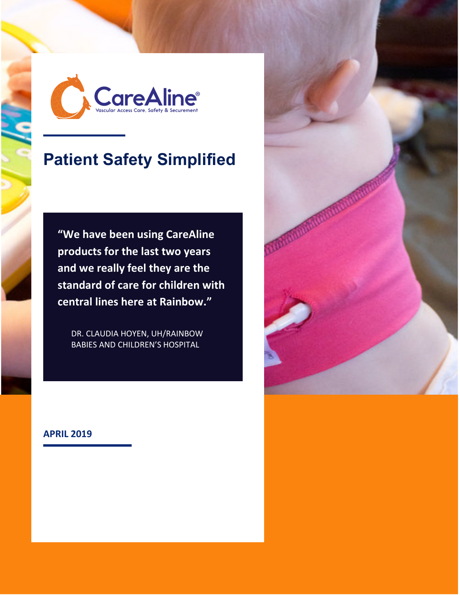

# **Patient Safety Simplified**

**"We have been using CareAline products for the last two years and we really feel they are the standard of care for children with central lines here at Rainbow."**

DR. CLAUDIA HOYEN, UH/RAINBOW BABIES AND CHILDREN'S HOSPITAL

#### **APRIL 2019**

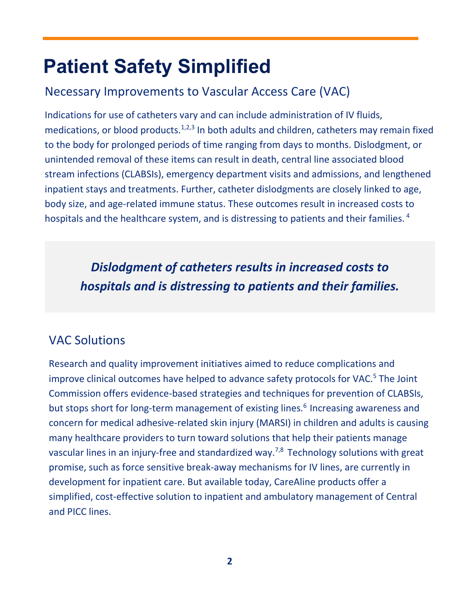# **Patient Safety Simplified**

# Necessary Improvements to Vascular Access Care (VAC)

Indications for use of catheters vary and can include administration of IV fluids, medications, or blood products.<sup>1,2,3</sup> In both adults and children, catheters may remain fixed to the body for prolonged periods of time ranging from days to months. Dislodgment, or unintended removal of these items can result in death, central line associated blood stream infections (CLABSIs), emergency department visits and admissions, and lengthened inpatient stays and treatments. Further, catheter dislodgments are closely linked to age, body size, and age-related immune status. These outcomes result in increased costs to hospitals and the healthcare system, and is distressing to patients and their families.  $4$ 

*Dislodgment of catheters results in increased costs to hospitals and is distressing to patients and their families.*

# VAC Solutions

Research and quality improvement initiatives aimed to reduce complications and improve clinical outcomes have helped to advance safety protocols for VAC.<sup>5</sup> The Joint Commission offers evidence-based strategies and techniques for prevention of CLABSIs, but stops short for long-term management of existing lines. <sup>6</sup> Increasing awareness and concern for medical adhesive-related skin injury (MARSI) in children and adults is causing many healthcare providers to turn toward solutions that help their patients manage vascular lines in an injury-free and standardized way.<sup>7,8</sup> Technology solutions with great promise, such as force sensitive break-away mechanisms for IV lines, are currently in development for inpatient care. But available today, CareAline products offer a simplified, cost-effective solution to inpatient and ambulatory management of Central and PICC lines.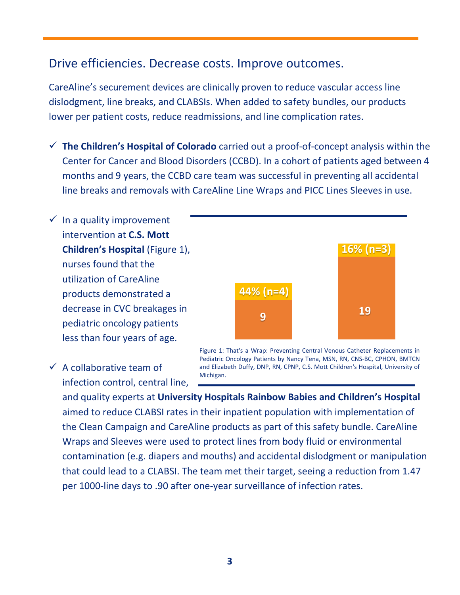#### Drive efficiencies. Decrease costs. Improve outcomes.

CareAline's securement devices are clinically proven to reduce vascular access line dislodgment, line breaks, and CLABSIs. When added to safety bundles, our products lower per patient costs, reduce readmissions, and line complication rates.

- 9 **The Children's Hospital of Colorado** carried out a proof-of-concept analysis within the Center for Cancer and Blood Disorders (CCBD). In a cohort of patients aged between 4 months and 9 years, the CCBD care team was successful in preventing all accidental line breaks and removals with CareAline Line Wraps and PICC Lines Sleeves in use.
- $\checkmark$  In a quality improvement intervention at **C.S. Mott Children's Hospital** (Figure 1), nurses found that the utilization of CareAline products demonstrated a decrease in CVC breakages in pediatric oncology patients less than four years of age.



 $\checkmark$  A collaborative team of infection control, central line, Michigan.

Figure 1: That's a Wrap: Preventing Central Venous Catheter Replacements in Pediatric Oncology Patients by Nancy Tena, MSN, RN, CNS-BC, CPHON, BMTCN and Elizabeth Duffy, DNP, RN, CPNP, C.S. Mott Children's Hospital, University of

and quality experts at **University Hospitals Rainbow Babies and Children's Hospital** aimed to reduce CLABSI rates in their inpatient population with implementation of the Clean Campaign and CareAline products as part of this safety bundle. CareAline Wraps and Sleeves were used to protect lines from body fluid or environmental contamination (e.g. diapers and mouths) and accidental dislodgment or manipulation that could lead to a CLABSI. The team met their target, seeing a reduction from 1.47 per 1000-line days to .90 after one-year surveillance of infection rates.